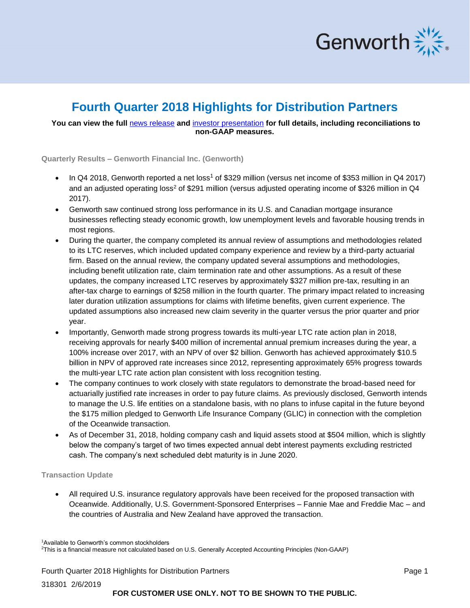

# **Fourth Quarter 2018 Highlights for Distribution Partners**

## **You can view the full** [news release](http://investor.genworth.com/investors/news-releases/archive/archive/2019/Genworth-Financial-Announces-Fourth-Quarter-2018-Results/default.aspx) **and** [investor presentation](http://investor.genworth.com/files/doc_financials/2018/Q4/4Q18-Quarterly-Financial-Supplement-(PDF).pdf) **for full details, including reconciliations to non-GAAP measures.**

**Quarterly Results – Genworth Financial Inc. (Genworth)**

- In Q4 2018, Genworth reported a net loss<sup>1</sup> of \$329 million (versus net income of \$353 million in Q4 2017) and an adjusted operating loss<sup>2</sup> of \$291 million (versus adjusted operating income of \$326 million in Q4 2017).
- Genworth saw continued strong loss performance in its U.S. and Canadian mortgage insurance businesses reflecting steady economic growth, low unemployment levels and favorable housing trends in most regions.
- During the quarter, the company completed its annual review of assumptions and methodologies related to its LTC reserves, which included updated company experience and review by a third-party actuarial firm. Based on the annual review, the company updated several assumptions and methodologies, including benefit utilization rate, claim termination rate and other assumptions. As a result of these updates, the company increased LTC reserves by approximately \$327 million pre-tax, resulting in an after-tax charge to earnings of \$258 million in the fourth quarter. The primary impact related to increasing later duration utilization assumptions for claims with lifetime benefits, given current experience. The updated assumptions also increased new claim severity in the quarter versus the prior quarter and prior year.
- Importantly, Genworth made strong progress towards its multi-year LTC rate action plan in 2018, receiving approvals for nearly \$400 million of incremental annual premium increases during the year, a 100% increase over 2017, with an NPV of over \$2 billion. Genworth has achieved approximately \$10.5 billion in NPV of approved rate increases since 2012, representing approximately 65% progress towards the multi-year LTC rate action plan consistent with loss recognition testing.
- The company continues to work closely with state regulators to demonstrate the broad-based need for actuarially justified rate increases in order to pay future claims. As previously disclosed, Genworth intends to manage the U.S. life entities on a standalone basis, with no plans to infuse capital in the future beyond the \$175 million pledged to Genworth Life Insurance Company (GLIC) in connection with the completion of the Oceanwide transaction.
- As of December 31, 2018, holding company cash and liquid assets stood at \$504 million, which is slightly below the company's target of two times expected annual debt interest payments excluding restricted cash. The company's next scheduled debt maturity is in June 2020.

### **Transaction Update**

• All required U.S. insurance regulatory approvals have been received for the proposed transaction with Oceanwide. Additionally, U.S. Government-Sponsored Enterprises – Fannie Mae and Freddie Mac – and the countries of Australia and New Zealand have approved the transaction.

<sup>1</sup>Available to Genworth's common stockholders

<sup>2</sup>This is a financial measure not calculated based on U.S. Generally Accepted Accounting Principles (Non-GAAP)

Fourth Quarter 2018 Highlights for Distribution Partners Page 1

318301 2/6/2019

**FOR CUSTOMER USE ONLY. NOT TO BE SHOWN TO THE PUBLIC.**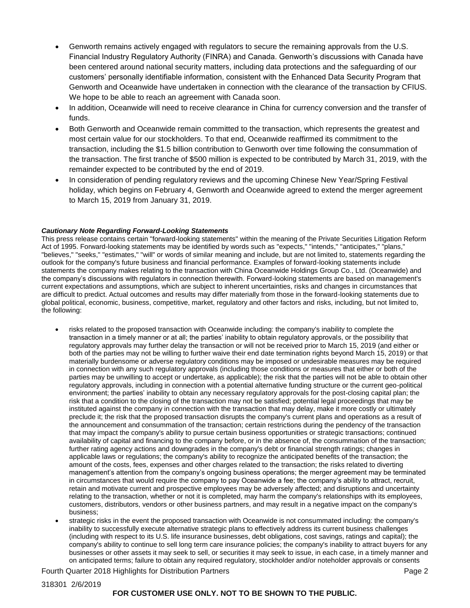- Genworth remains actively engaged with regulators to secure the remaining approvals from the U.S. Financial Industry Regulatory Authority (FINRA) and Canada. Genworth's discussions with Canada have been centered around national security matters, including data protections and the safeguarding of our customers' personally identifiable information, consistent with the Enhanced Data Security Program that Genworth and Oceanwide have undertaken in connection with the clearance of the transaction by CFIUS. We hope to be able to reach an agreement with Canada soon.
- In addition, Oceanwide will need to receive clearance in China for currency conversion and the transfer of funds.
- Both Genworth and Oceanwide remain committed to the transaction, which represents the greatest and most certain value for our stockholders. To that end, Oceanwide reaffirmed its commitment to the transaction, including the \$1.5 billion contribution to Genworth over time following the consummation of the transaction. The first tranche of \$500 million is expected to be contributed by March 31, 2019, with the remainder expected to be contributed by the end of 2019.
- In consideration of pending regulatory reviews and the upcoming Chinese New Year/Spring Festival holiday, which begins on February 4, Genworth and Oceanwide agreed to extend the merger agreement to March 15, 2019 from January 31, 2019.

#### *Cautionary Note Regarding Forward-Looking Statements*

This press release contains certain "forward-looking statements" within the meaning of the Private Securities Litigation Reform Act of 1995. Forward-looking statements may be identified by words such as "expects," "intends," "anticipates," "plans," "believes," "seeks," "estimates," "will" or words of similar meaning and include, but are not limited to, statements regarding the outlook for the company's future business and financial performance. Examples of forward-looking statements include statements the company makes relating to the transaction with China Oceanwide Holdings Group Co., Ltd. (Oceanwide) and the company's discussions with regulators in connection therewith. Forward-looking statements are based on management's current expectations and assumptions, which are subject to inherent uncertainties, risks and changes in circumstances that are difficult to predict. Actual outcomes and results may differ materially from those in the forward-looking statements due to global political, economic, business, competitive, market, regulatory and other factors and risks, including, but not limited to, the following:

- risks related to the proposed transaction with Oceanwide including: the company's inability to complete the transaction in a timely manner or at all; the parties' inability to obtain regulatory approvals, or the possibility that regulatory approvals may further delay the transaction or will not be received prior to March 15, 2019 (and either or both of the parties may not be willing to further waive their end date termination rights beyond March 15, 2019) or that materially burdensome or adverse regulatory conditions may be imposed or undesirable measures may be required in connection with any such regulatory approvals (including those conditions or measures that either or both of the parties may be unwilling to accept or undertake, as applicable); the risk that the parties will not be able to obtain other regulatory approvals, including in connection with a potential alternative funding structure or the current geo-political environment; the parties' inability to obtain any necessary regulatory approvals for the post-closing capital plan; the risk that a condition to the closing of the transaction may not be satisfied; potential legal proceedings that may be instituted against the company in connection with the transaction that may delay, make it more costly or ultimately preclude it; the risk that the proposed transaction disrupts the company's current plans and operations as a result of the announcement and consummation of the transaction; certain restrictions during the pendency of the transaction that may impact the company's ability to pursue certain business opportunities or strategic transactions; continued availability of capital and financing to the company before, or in the absence of, the consummation of the transaction; further rating agency actions and downgrades in the company's debt or financial strength ratings; changes in applicable laws or regulations; the company's ability to recognize the anticipated benefits of the transaction; the amount of the costs, fees, expenses and other charges related to the transaction; the risks related to diverting management's attention from the company's ongoing business operations; the merger agreement may be terminated in circumstances that would require the company to pay Oceanwide a fee; the company's ability to attract, recruit, retain and motivate current and prospective employees may be adversely affected; and disruptions and uncertainty relating to the transaction, whether or not it is completed, may harm the company's relationships with its employees, customers, distributors, vendors or other business partners, and may result in a negative impact on the company's business;
- strategic risks in the event the proposed transaction with Oceanwide is not consummated including: the company's inability to successfully execute alternative strategic plans to effectively address its current business challenges (including with respect to its U.S. life insurance businesses, debt obligations, cost savings, ratings and capital); the company's ability to continue to sell long term care insurance policies; the company's inability to attract buyers for any businesses or other assets it may seek to sell, or securities it may seek to issue, in each case, in a timely manner and on anticipated terms; failure to obtain any required regulatory, stockholder and/or noteholder approvals or consents

Fourth Quarter 2018 Highlights for Distribution Partners **Page 2** All the State of Page 2

## **FOR CUSTOMER USE ONLY. NOT TO BE SHOWN TO THE PUBLIC.**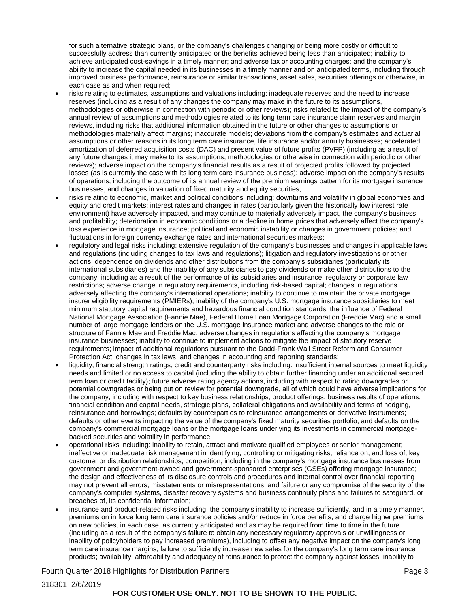for such alternative strategic plans, or the company's challenges changing or being more costly or difficult to successfully address than currently anticipated or the benefits achieved being less than anticipated; inability to achieve anticipated cost-savings in a timely manner; and adverse tax or accounting charges; and the company's ability to increase the capital needed in its businesses in a timely manner and on anticipated terms, including through improved business performance, reinsurance or similar transactions, asset sales, securities offerings or otherwise, in each case as and when required;

- risks relating to estimates, assumptions and valuations including: inadequate reserves and the need to increase reserves (including as a result of any changes the company may make in the future to its assumptions, methodologies or otherwise in connection with periodic or other reviews); risks related to the impact of the company's annual review of assumptions and methodologies related to its long term care insurance claim reserves and margin reviews, including risks that additional information obtained in the future or other changes to assumptions or methodologies materially affect margins; inaccurate models; deviations from the company's estimates and actuarial assumptions or other reasons in its long term care insurance, life insurance and/or annuity businesses; accelerated amortization of deferred acquisition costs (DAC) and present value of future profits (PVFP) (including as a result of any future changes it may make to its assumptions, methodologies or otherwise in connection with periodic or other reviews); adverse impact on the company's financial results as a result of projected profits followed by projected losses (as is currently the case with its long term care insurance business); adverse impact on the company's results of operations, including the outcome of its annual review of the premium earnings pattern for its mortgage insurance businesses; and changes in valuation of fixed maturity and equity securities;
- risks relating to economic, market and political conditions including: downturns and volatility in global economies and equity and credit markets; interest rates and changes in rates (particularly given the historically low interest rate environment) have adversely impacted, and may continue to materially adversely impact, the company's business and profitability; deterioration in economic conditions or a decline in home prices that adversely affect the company's loss experience in mortgage insurance; political and economic instability or changes in government policies; and fluctuations in foreign currency exchange rates and international securities markets;
- regulatory and legal risks including: extensive regulation of the company's businesses and changes in applicable laws and regulations (including changes to tax laws and regulations); litigation and regulatory investigations or other actions; dependence on dividends and other distributions from the company's subsidiaries (particularly its international subsidiaries) and the inability of any subsidiaries to pay dividends or make other distributions to the company, including as a result of the performance of its subsidiaries and insurance, regulatory or corporate law restrictions; adverse change in regulatory requirements, including risk-based capital; changes in regulations adversely affecting the company's international operations; inability to continue to maintain the private mortgage insurer eligibility requirements (PMIERs); inability of the company's U.S. mortgage insurance subsidiaries to meet minimum statutory capital requirements and hazardous financial condition standards; the influence of Federal National Mortgage Association (Fannie Mae), Federal Home Loan Mortgage Corporation (Freddie Mac) and a small number of large mortgage lenders on the U.S. mortgage insurance market and adverse changes to the role or structure of Fannie Mae and Freddie Mac; adverse changes in regulations affecting the company's mortgage insurance businesses; inability to continue to implement actions to mitigate the impact of statutory reserve requirements; impact of additional regulations pursuant to the Dodd-Frank Wall Street Reform and Consumer Protection Act; changes in tax laws; and changes in accounting and reporting standards;
- liquidity, financial strength ratings, credit and counterparty risks including: insufficient internal sources to meet liquidity needs and limited or no access to capital (including the ability to obtain further financing under an additional secured term loan or credit facility); future adverse rating agency actions, including with respect to rating downgrades or potential downgrades or being put on review for potential downgrade, all of which could have adverse implications for the company, including with respect to key business relationships, product offerings, business results of operations, financial condition and capital needs, strategic plans, collateral obligations and availability and terms of hedging, reinsurance and borrowings; defaults by counterparties to reinsurance arrangements or derivative instruments; defaults or other events impacting the value of the company's fixed maturity securities portfolio; and defaults on the company's commercial mortgage loans or the mortgage loans underlying its investments in commercial mortgagebacked securities and volatility in performance;
- operational risks including: inability to retain, attract and motivate qualified employees or senior management; ineffective or inadequate risk management in identifying, controlling or mitigating risks; reliance on, and loss of, key customer or distribution relationships; competition, including in the company's mortgage insurance businesses from government and government-owned and government-sponsored enterprises (GSEs) offering mortgage insurance; the design and effectiveness of its disclosure controls and procedures and internal control over financial reporting may not prevent all errors, misstatements or misrepresentations; and failure or any compromise of the security of the company's computer systems, disaster recovery systems and business continuity plans and failures to safeguard, or breaches of, its confidential information;
- insurance and product-related risks including: the company's inability to increase sufficiently, and in a timely manner, premiums on in force long term care insurance policies and/or reduce in force benefits, and charge higher premiums on new policies, in each case, as currently anticipated and as may be required from time to time in the future (including as a result of the company's failure to obtain any necessary regulatory approvals or unwillingness or inability of policyholders to pay increased premiums), including to offset any negative impact on the company's long term care insurance margins; failure to sufficiently increase new sales for the company's long term care insurance products; availability, affordability and adequacy of reinsurance to protect the company against losses; inability to

Fourth Quarter 2018 Highlights for Distribution Partners **Page 3** Australian Page 3

## **FOR CUSTOMER USE ONLY. NOT TO BE SHOWN TO THE PUBLIC.**